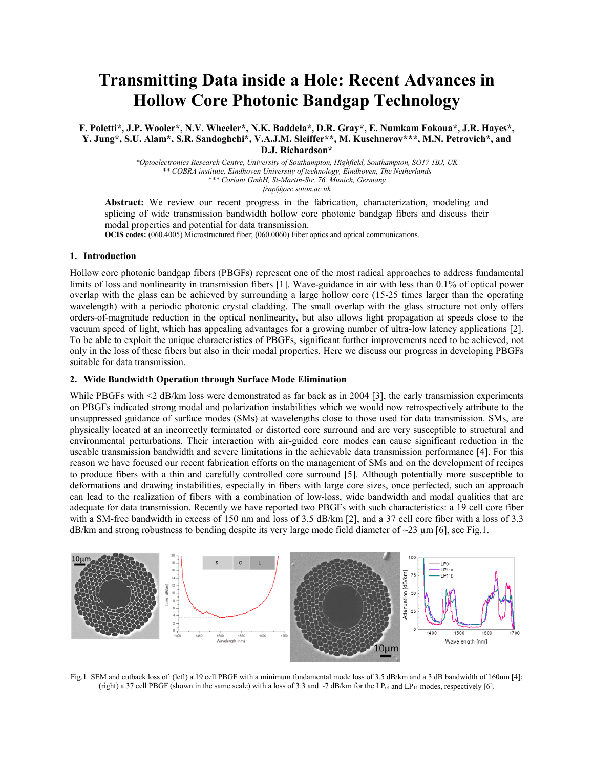# **Transmitting Data inside a Hole: Recent Advances in Hollow Core Photonic Bandgap Technology**

**F. Poletti\*, J.P. Wooler\*, N.V. Wheeler\*, N.K. Baddela\*, D.R. Gray\*, E. Numkam Fokoua\*, J.R. Hayes\*, Y. Jung\*, S.U. Alam\*, S.R. Sandoghchi\*, V.A.J.M. Sleiffer\*\*, M. Kuschnerov\*\*\*, M.N. Petrovich\*, and D.J. Richardson\***

> *\*Optoelectronics Research Centre, University of Southampton, Highfield, Southampton, SO17 1BJ, UK \*\* COBRA institute, Eindhoven University of technology, Eindhoven, The Netherlands \*\*\* Coriant GmbH, St-Martin-Str. 76, Munich, Germany frap@orc.soton.ac.uk*

**Abstract:** We review our recent progress in the fabrication, characterization, modeling and splicing of wide transmission bandwidth hollow core photonic bandgap fibers and discuss their modal properties and potential for data transmission.

**OCIS codes:** (060.4005) Microstructured fiber; (060.0060) Fiber optics and optical communications.

## **1. Introduction**

Hollow core photonic bandgap fibers (PBGFs) represent one of the most radical approaches to address fundamental limits of loss and nonlinearity in transmission fibers [1]. Wave-guidance in air with less than 0.1% of optical power overlap with the glass can be achieved by surrounding a large hollow core (15-25 times larger than the operating wavelength) with a periodic photonic crystal cladding. The small overlap with the glass structure not only offers orders-of-magnitude reduction in the optical nonlinearity, but also allows light propagation at speeds close to the vacuum speed of light, which has appealing advantages for a growing number of ultra-low latency applications [2]. To be able to exploit the unique characteristics of PBGFs, significant further improvements need to be achieved, not only in the loss of these fibers but also in their modal properties. Here we discuss our progress in developing PBGFs suitable for data transmission.

### **2. Wide Bandwidth Operation through Surface Mode Elimination**

While PBGFs with <2 dB/km loss were demonstrated as far back as in 2004 [3], the early transmission experiments on PBGFs indicated strong modal and polarization instabilities which we would now retrospectively attribute to the unsuppressed guidance of surface modes (SMs) at wavelengths close to those used for data transmission. SMs, are physically located at an incorrectly terminated or distorted core surround and are very susceptible to structural and environmental perturbations. Their interaction with air-guided core modes can cause significant reduction in the useable transmission bandwidth and severe limitations in the achievable data transmission performance [4]. For this reason we have focused our recent fabrication efforts on the management of SMs and on the development of recipes to produce fibers with a thin and carefully controlled core surround [5]. Although potentially more susceptible to deformations and drawing instabilities, especially in fibers with large core sizes, once perfected, such an approach can lead to the realization of fibers with a combination of low-loss, wide bandwidth and modal qualities that are adequate for data transmission. Recently we have reported two PBGFs with such characteristics: a 19 cell core fiber with a SM-free bandwidth in excess of 150 nm and loss of 3.5 dB/km [2], and a 37 cell core fiber with a loss of 3.3 dB/km and strong robustness to bending despite its very large mode field diameter of  $\sim$ 23  $\mu$ m [6], see Fig.1.



Fig.1. SEM and cutback loss of: (left) a 19 cell PBGF with a minimum fundamental mode loss of 3.5 dB/km and a 3 dB bandwidth of 160nm [4]; (right) a 37 cell PBGF (shown in the same scale) with a loss of 3.3 and  $\sim$ 7 dB/km for the LP<sub>01</sub> and LP<sub>11</sub> modes, respectively [6].